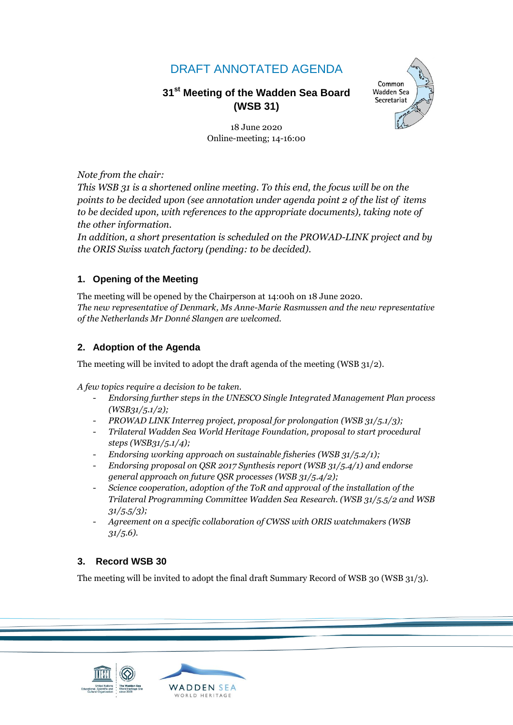# DRAFT ANNOTATED AGENDA

# **31 st Meeting of the Wadden Sea Board (WSB 31)**



18 June 2020 Online-meeting; 14-16:00

*Note from the chair:*

*This WSB 31 is a shortened online meeting. To this end, the focus will be on the points to be decided upon (see annotation under agenda point 2 of the list of items to be decided upon, with references to the appropriate documents), taking note of the other information.*

*In addition, a short presentation is scheduled on the PROWAD-LINK project and by the ORIS Swiss watch factory (pending: to be decided).*

## **1. Opening of the Meeting**

The meeting will be opened by the Chairperson at 14:00h on 18 June 2020. *The new representative of Denmark, Ms Anne-Marie Rasmussen and the new representative of the Netherlands Mr Donné Slangen are welcomed.* 

## **2. Adoption of the Agenda**

The meeting will be invited to adopt the draft agenda of the meeting (WSB 31/2).

*A few topics require a decision to be taken.*

- *Endorsing further steps in the UNESCO Single Integrated Management Plan process (WSB31/5.1/2);*
- *PROWAD LINK Interreg project, proposal for prolongation (WSB 31/5.1/3);*
- *Trilateral Wadden Sea World Heritage Foundation, proposal to start procedural steps (WSB31/5.1/4);*
- *Endorsing working approach on sustainable fisheries (WSB 31/5.2/1);*
- *Endorsing proposal on QSR 2017 Synthesis report (WSB 31/5.4/1) and endorse general approach on future QSR processes (WSB 31/5.4/2);*
- *Science cooperation, adoption of the ToR and approval of the installation of the Trilateral Programming Committee Wadden Sea Research. (WSB 31/5.5/2 and WSB 31/5.5/3);*
- *Agreement on a specific collaboration of CWSS with ORIS watchmakers (WSB 31/5.6).*

## **3. Record WSB 30**

The meeting will be invited to adopt the final draft Summary Record of WSB 30 (WSB 31/3).



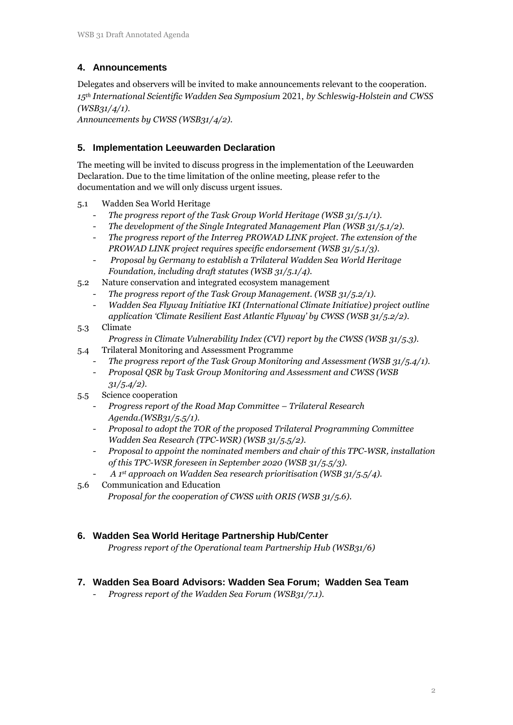# **4. Announcements**

Delegates and observers will be invited to make announcements relevant to the cooperation. *15th International Scientific Wadden Sea Symposium* 2021, *by Schleswig-Holstein and CWSS (WSB31/4/1).*

*Announcements by CWSS (WSB31/4/2).*

#### **5. Implementation Leeuwarden Declaration**

The meeting will be invited to discuss progress in the implementation of the Leeuwarden Declaration. Due to the time limitation of the online meeting, please refer to the documentation and we will only discuss urgent issues.

- 5.1 Wadden Sea World Heritage
	- *The progress report of the Task Group World Heritage (WSB 31/5.1/1).*
	- *The development of the Single Integrated Management Plan (WSB 31/5.1/2).*
	- *The progress report of the Interreg PROWAD LINK project. The extension of the PROWAD LINK project requires specific endorsement (WSB 31/5.1/3).*
	- *Proposal by Germany to establish a Trilateral Wadden Sea World Heritage Foundation, including draft statutes (WSB 31/5.1/4).*
- 5.2 Nature conservation and integrated ecosystem management
	- *The progress report of the Task Group Management. (WSB 31/5.2/1).*
	- *Wadden Sea Flyway Initiative IKI (International Climate Initiative) project outline application 'Climate Resilient East Atlantic Flyway' by CWSS (WSB 31/5.2/2).*
- 5.3 Climate

*Progress in Climate Vulnerability Index (CVI) report by the CWSS (WSB 31/5.3).*

- 5.4 Trilateral Monitoring and Assessment Programme
	- *The progress report of the Task Group Monitoring and Assessment (WSB 31/5.4/1).*
	- *Proposal QSR by Task Group Monitoring and Assessment and CWSS (WSB 31/5.4/2).*
- 5.5 Science cooperation
	- *Progress report of the Road Map Committee – Trilateral Research Agenda.(WSB31/5.5/1).*
	- *Proposal to adopt the TOR of the proposed Trilateral Programming Committee Wadden Sea Research (TPC-WSR) (WSB 31/5.5/2).*
	- *Proposal to appoint the nominated members and chair of this TPC-WSR, installation of this TPC-WSR foreseen in September 2020 (WSB 31/5.5/3).*
	- *A 1 st approach on Wadden Sea research prioritisation (WSB 31/5.5/4).*
- 5.6 Communication and Education *Proposal for the cooperation of CWSS with ORIS (WSB 31/5.6).*

## **6. Wadden Sea World Heritage Partnership Hub/Center**

*Progress report of the Operational team Partnership Hub (WSB31/6)*

#### **7. Wadden Sea Board Advisors: Wadden Sea Forum; Wadden Sea Team**

- *Progress report of the Wadden Sea Forum (WSB31/7.1).*